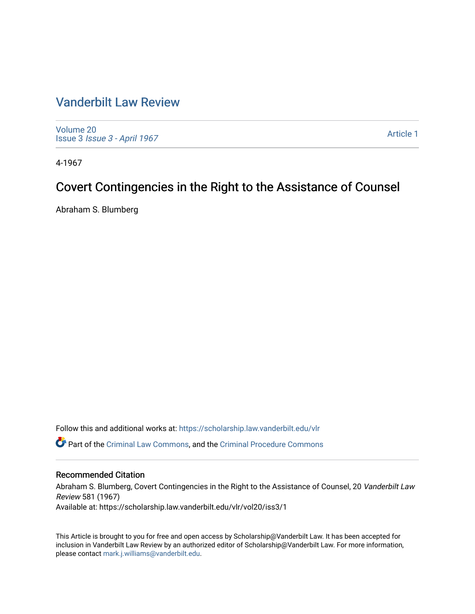## [Vanderbilt Law Review](https://scholarship.law.vanderbilt.edu/vlr)

[Volume 20](https://scholarship.law.vanderbilt.edu/vlr/vol20) Issue 3 [Issue 3 - April 1967](https://scholarship.law.vanderbilt.edu/vlr/vol20/iss3)

[Article 1](https://scholarship.law.vanderbilt.edu/vlr/vol20/iss3/1) 

4-1967

## Covert Contingencies in the Right to the Assistance of Counsel

Abraham S. Blumberg

Follow this and additional works at: [https://scholarship.law.vanderbilt.edu/vlr](https://scholarship.law.vanderbilt.edu/vlr?utm_source=scholarship.law.vanderbilt.edu%2Fvlr%2Fvol20%2Fiss3%2F1&utm_medium=PDF&utm_campaign=PDFCoverPages) Part of the [Criminal Law Commons,](http://network.bepress.com/hgg/discipline/912?utm_source=scholarship.law.vanderbilt.edu%2Fvlr%2Fvol20%2Fiss3%2F1&utm_medium=PDF&utm_campaign=PDFCoverPages) and the [Criminal Procedure Commons](http://network.bepress.com/hgg/discipline/1073?utm_source=scholarship.law.vanderbilt.edu%2Fvlr%2Fvol20%2Fiss3%2F1&utm_medium=PDF&utm_campaign=PDFCoverPages)

## Recommended Citation

Abraham S. Blumberg, Covert Contingencies in the Right to the Assistance of Counsel, 20 Vanderbilt Law Review 581 (1967) Available at: https://scholarship.law.vanderbilt.edu/vlr/vol20/iss3/1

This Article is brought to you for free and open access by Scholarship@Vanderbilt Law. It has been accepted for inclusion in Vanderbilt Law Review by an authorized editor of Scholarship@Vanderbilt Law. For more information, please contact [mark.j.williams@vanderbilt.edu.](mailto:mark.j.williams@vanderbilt.edu)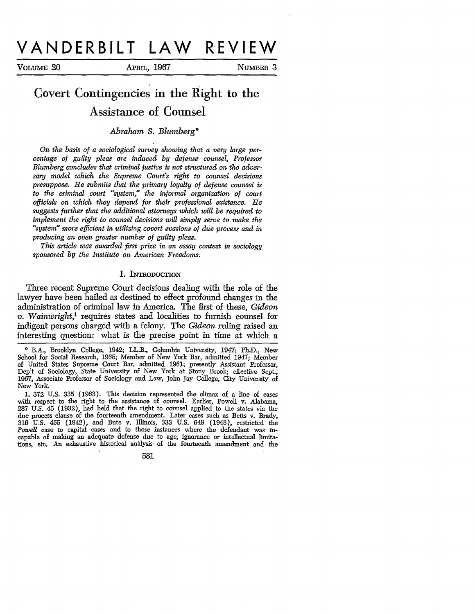**VOLUME 20 APRM, 1967 NUMBER 3** 

# Covert Contingencies in the **Right** to the Assistance of Counsel

## *Abraham S. Blumberg\**

*On the basis of a sociological survey showing that a very large percentage of guilty pleas are induced by defense counsel, Professor Blumberg concludes that criminal justice is not structured on the adversary model which the Supreme Court's right to counsel decisions presuppose. He submits that the primary loyalty of defense counsel is to the criminal court "system," the informal organization of court officials on which they depend for their professional existence. He suggests further that the additional attorneys which will be required to implement the right to counsel decisions will simply serve to make the "system" more efficient in utilizing covert evasions of due process and in producing an even greater number of guilty pleas.*

*This article was awarded first prize in an essay contest in sociology sponsored by the Institute on American Freedoms.*

#### I. INTRODUCTION

Three recent Supreme Court decisions dealing with the role of the lawyer have been hailed as destined to effect profound changes in the administration of criminal law in America. The first of these, *Gideon v. Wainwright,'* requires states and localities to furnish counsel for indigent persons charged with a felony. The *Gideon* ruling raised an interesting question: what is the precise point in time at which a

581

**<sup>\*</sup>** B.A., Brooklyn College, 1942; LL.B., Columbia University, 1947; Ph.D., New School for Social Research, 1965; Member of New York Bar, admitted 1947; Member of United States Supreme Court Bar, admitted 1961; presently Assistant Professor, Dep't of Sociology, State University of New York at Stony Brook; effective Sept., 1967, Associate Professor of Sociology and Law, John Jay College, City University of New York.

<sup>1. 372</sup> U.S. 335 (1963). This decision represented the climax of a line of cases with respect to the right to the assistance of counsel. Earlier, Powell v. Alabama, 287 U.S. 45 (1932), had held that the right to counsel applied to the states via the due process clause of the fourteenth amendment. Later cases such as Betts v. Brady, 316 U.S. 455 (1942), and Bute v. Illinois, 333 U.S. 649 (1948), restricted the *Powell* case to capital cases and to those instances where the defendant was incapable of making an adequate defense due to age, ignorance or intellectual limitations, etc. An exhaustive historical analysis- of the fourteenth amendment and the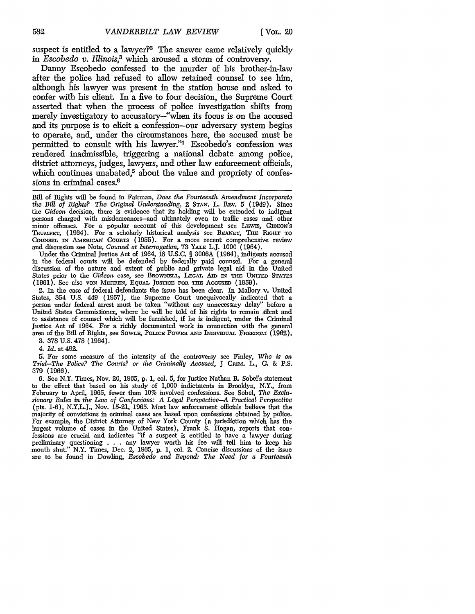suspect is entitled to a lawyer?<sup>2</sup> The answer came relatively quickly *in Escobedo v. Illinois,3* which aroused a storm of controversy.

Danny Escobedo confessed to the murder of his brother-in-law after the police had refused to allow retained counsel to see him, although his lawyer was present in the station house and asked to confer with his client. In a five to four decision, the Supreme Court asserted that when the process of police investigation shifts from merely investigatory to accusatory-"when its focus is on the accused and its purpose is to elicit a confession-our adversary system begins to operate, and, under the circumstances here, the accused must be permitted to consult with his lawyer."4 Escobedo's confession was rendered inadmissible, triggering a national debate among police, district attorneys, judges, lawyers, and other law enforcement officials, which continues unabated, $5$  about the value and propriety of confessions in criminal **cases. <sup>6</sup>**

Bill of Rights will be found in Fairman, *Does the Fourteenth Amendment Incorporate the Bill of Rights? The Original Understanding, 2 STAN. L. REV. 5 (1949). Since* the *Gideon* decision, there is evidence that its holding will be extended to indigent persons charged with misdemeanors-and ultimately even to traffic cases and other minor offenses. For a popular account of this development see LEWIS, GIDEON's TRUMPET, (1964). For a scholarly historical analysis see BEANEY, THE RIGHT TO COUNSEL IN AMERICAN COURTS (1955). For a more recent comprehensive review and discussion see Note, *Counsel at Interrogation,* 73 YALE L.J. **1000** (1964).

Under the Criminal Justice Act of 1964, 18 U.S.C. § 3006A (1964), indigents accused in the federal courts will be defended by federally paid counsel. For a general discussion of the nature and extent of public and private legal aid in the United States prior to the Gideon case, see BROWNELL, LEGAL AM IN THE UNITED STATES (1961). See also **VON MEHRRN,** EQUAL **JUsTIcE** FOR **THE** AccusED (1959).

2. In the case of federal defendants the issue has been clear. In Mallory v. United States, 354 U.S. 449 (1957), the Supreme Court unequivocally indicated that a person under federal arrest must be taken "without any unnecessary delay" before a United States Commissioner, where he will be told of his rights to remain silent and to assistance of counsel which will be furnished, if he is indigent, under the Criminal area of the Bill of Rights, see Sowne, Pouce Power AND INDIVIDUAL FREEDOM (1962). 3. 378 **U.S.** 478 (1964).

4. *Id.* at 492.

5. For some measure of the intensity of the controversy see Finley, *Who is on Tfial-The Police? The Courts? or the Criminally Accused,* **J** CmM. L., **C.** & **P.S.** 379 (1966).

6. See N.Y. Times, Nov. 20, 1965, **p.** 1, col. 5, for Justice Nathan *B.* Sobel's statement to the effect that based on his study of 1,000 indictments in Brooklyn, N.Y., from February to April, 1965, fewer than 10% involved confessions. See Sobel, *The Exclusionary Rules in the Law of Confessions: A Legal Perspective-A Practical Perspective* (pts. 1-6), N.Y.L.J., Nov. 15-21, 1965. Most law enforcement officials believe that the majority of convictions in criminal cases are based upon confessions obtained by police. For example, the District Attorney of New York County (a jurisdiction which has the largest volume of cases in the United States), Frank S. Hogan, reports that confessions are crucial and indicates "if a suspect is entitled to have a lawyer during preliminary questioning . . . any lawyer worth his fee will tell him to keep his mouth shut." N.Y. Times, Dec. 2, 1965, **p.** 1, col. 2. Concise discussions of the issue are to be found **in** Dowling, *Escobedo and Beyond: The Need for a Fourteenth*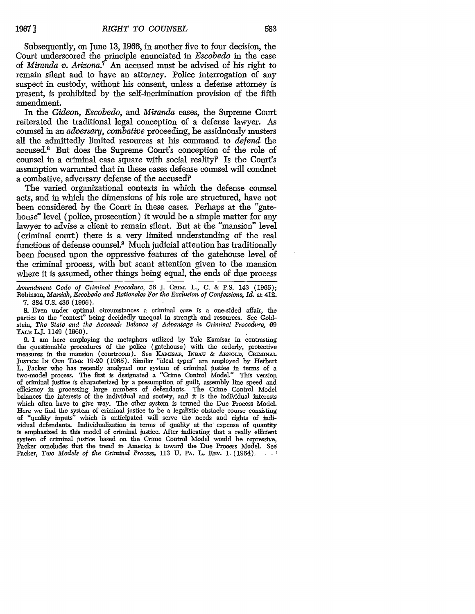Subsequently, on June 13, 1966, in another five to four decision, the Court underscored the principle enunciated in *Escobedo* in the case of *Miranda v. Arizona.7* An accused must be advised of **his** right to remain silent and to have an attorney. Police interrogation of any suspect in custody, without his consent, unless a defense attorney is present, is prohibited by the self-incrimination provision of the fifth amendment.

In the *Gideon, Escobedo, and Miranda* cases, the Supreme Court reiterated the traditional legal conception of a defense lawyer. As counsel in an *adversary, combative* proceeding, he assiduously musters all the admittedly limited resources at his command to *defend* the accused.8 But does the Supreme Court's conception of the role of counsel in a criminal case square with social reality? Is the Court's assumption warranted that in these cases defense counsel will conduct a combative, adversary defense of the accused?

The varied organizational contexts in which the defense counsel acts, and in which the dimensions of his role are structured, have not been considered by the Court in these cases. Perhaps at the "gatehouse" level (police, prosecution) it would be a simple matter for any lawyer to advise a client to remain silent. But at the "mansion" level (criminal court) there is a very limited understanding of the real functions of defense counsel.9 Much judicial attention has traditionally been focused upon the oppressive features of the gatehouse level of the criminal process, with but scant attention given to the mansion where it is assumed, other things being equal, the ends of due process

*Amendment Code of Criminal Procedure,* 56 J. **CRm.** L., C. & P.S. 143 (1965); Robinson, *Massiah, Escobedo and Rationales For the Exclusion of Confessions, Id.* at 412. 7. 384 U.S. 436 (1966).

8. Even under optimal circumstances a criminal case is a one-sided affair, the parties to the "contest" being decidedly unequal in strength and resources. See Goldstein, *The State and the Accused: Balance of Advantage in Criminal Procedure, 69* **YALE** L.J. 1149 (1960).

9. I am here employing the metaphors utilized by Yale Kamisar in contrasting the questionable procedures of the police (gatehouse) with the orderly, protective measures in the mansion (courtroom). See KAMnsAR, **INBAU** & ARNOLD, CRnvIaNL JUSTICE IN OUR TIME 19-20 (1965). Similar "ideal types" are employed by Herbert L. Packer who has recently analyzed our system of criminal justice in terms of a two-model process. The first is designated a "Crime Control Model." This version of criminal justice is characterized by a presumption of guilt, assembly line speed and efficiency in processing large numbers of defendants. The Crime Control Model balances the interests of the individual and society, and it is the individual interests which often have to give way. The other system is termed the Due Process Model. Here we find the system of criminal justice to be a legalistic obstacle course consisting of "quality inputs" which is anticipated will serve the needs and rights of individual defendants. Individualization in terms of quality at the' expense of quantity is emphasized in this model of criminal justice. After indicating that a really efficient system of criminal justice based on the Crime Control Model would be repressive, Packer concludes that the trend in America is toward the Due Process Model. See Packer, Two Models of the Criminal Process, 113 U. PA. L. REV. 1 (1964).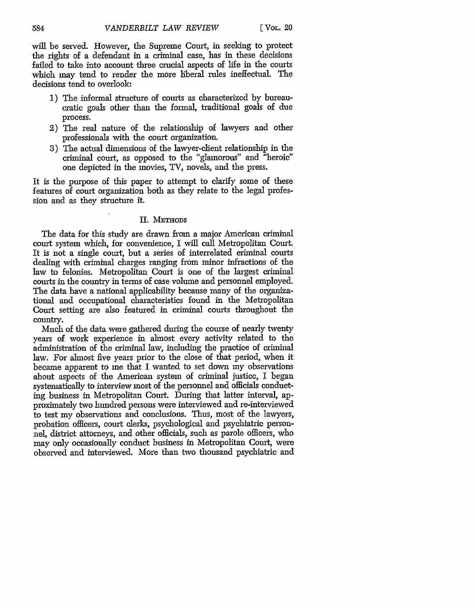will be served. However, the Supreme Court, in seeking to protect the rights of a defendant in a criminal case, has in these decisions failed to take into account three crucial aspects of life in the courts which may tend to render the more liberal rules ineffectual. The decisions tend to overlook:

- 1) The informal structure of courts as characterized by bureaucratic goals other than the formal, traditional goals of due process.
- 2) The real nature of the relationship of lawyers and other professionals with the court organization.
- 3) The actual dimensions of the lawyer-client relationship in the criminal court, as opposed to the "glamorous" and "heroic" one depicted in the movies, TV, novels, and the press.

It is the purpose of this paper to attempt to clarify some of these features of court organization both as they relate to the legal profession and as they structure it.

### II. **METHODS**

The data for this study are drawn from a major American criminal court system which, for convenience, I will call Metropolitan Court. It is not a single court, but a series of interrelated criminal courts dealing with criminal charges ranging from minor infractions of the law to felonies. Metropolitan Court is one of the largest criminal courts in the country in terms of case volume and personnel employed. The data have a national applicability because many of the organizational and occupational characteristics found in the Metropolitan Court setting are also featured in criminal courts throughout the country.

Much of the data were gathered during the course of nearly twenty years of work experience in almost every activity related to the administration of the criminal law, including the practice of criminal law. For almost five years prior to the close of that period, when it became apparent to me that I wanted to set down my observations about aspects of the American system of criminal justice, I began systematically to interview most of the personnel and officials conducting business in Metropolitan Court. During that latter interval, approximately two hundred persons were interviewed and re-interviewed to test my observations and conclusions. Thus, most of the lawyers, probation officers, court clerks, psychological and psychiatric personnel, district attorneys, and other officials, such as parole officers, who may only occasionally conduct business in Metropolitan Court, were observed and interviewed. More than two thousand psychiatric and.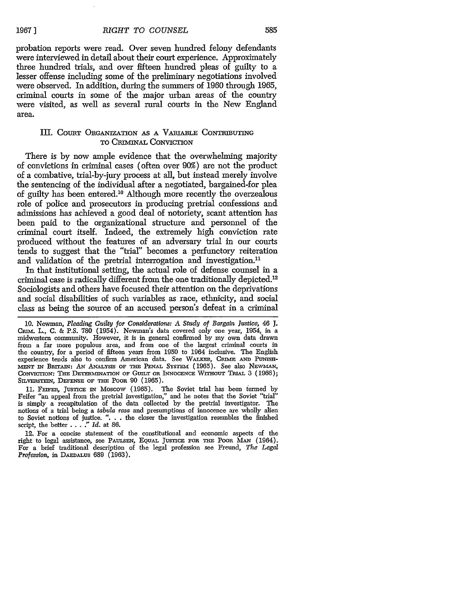**1967** ]

probation reports were read. Over seven hundred felony defendants were interviewed in detail about their court experience. Approximately three hundred trials, and over fifteen hundred pleas of guilty to a lesser offense including some of the preliminary negotiations involved were observed. In addition, during the summers of 1960 through 1965, criminal courts in some of the major urban areas of the country were visited, as well as several rural courts in the New England area.

## III. **COURT ORGANIZATION** *AS* **A** VARIABLE **CONTRIBUTING** TO CRIMINAL CONVICTION

There is by now ample evidence that the overwhelming majority of convictions in criminal cases (often over 90%) are not the product of a combative, trial-by-jury process at all, but instead merely involve the sentencing of the individual after a negotiated, bargained-for plea of guilty has been entered.10 Although more recently the overzealous role of police and prosecutors in producing pretrial confessions and admissions has achieved a good deal of notoriety, scant attention has been paid to the organizational structure and personnel of the criminal court itself. Indeed, the extremely high conviction rate produced without the features of an adversary trial in our courts tends to suggest that the "trial" becomes a perfunctory reiteration and validation of the pretrial interrogation and investigation.<sup>11</sup>

In that institutional setting, the actual role of defense counsel in a criminal case is radically different from the one traditionally depicted.'2 Sociologists and others have focused their attention on the deprivations and social disabilities of such variables as race, ethnicity, and social class as being the source of an accused person's defeat in a criminal

11. FEIFER, JUSTICE IN MOSCOW (1965). The Soviet trial has been termed by Feifer "an appeal from the pretrial investigation," and he notes that the Soviet "trial" is simply a recapitulation of the data collected by the pretrial investigator. The notions of a trial being a *tabula* rasa and presumptions of innocence are wholly alien to Soviet notions of justice. ". **.** . the closer the investigation resembles the finished script, the better **...."** *Id.* at 86.

12. For a concise statement of the constitutional and economic aspects of the right to legal assistance, see PAursEN, EQUAL **JUsTICE** FOR **Tim POOR** MAN (1964). For a brief traditional description of the legal profession see Freund, *The Legal Profession,* in DAEDALUS 689 (1963).

**<sup>10.</sup>** Newman, *Pleading Guilty for Considerations: A Study of Bargain Justice, 46* J. CraM. L., C. & P.S. 780 (1954). Newman's data covered only one year, 1954, in a midwestern community. However, it is in general confirmed by my own data drawn from a far more populous area, and from one of the largest criminal courts in the country, for a period of fifteen years from 1950 to 1964 inclusive. The English experience tends also to confirm American data. See WALKER, CRIME AND PUNISH*xmwxT* IN **BarTAIN:** AN ANALYsIs OF **Tim PENAL** SysTm (1965). See also *NEwmAN,* CONVICTION: THE DETERMINATION OF GUILT OR INNOCENCE WITHOUT TRIAL 3 (1966); SILVERSTEIN, DEFENSE OF THE POOR 90 (1965).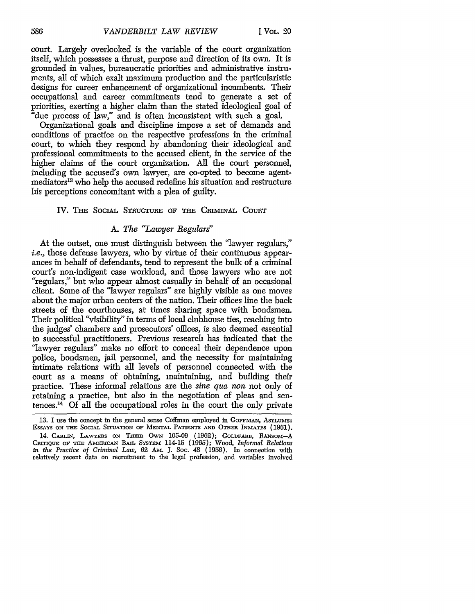court. Largely overlooked is the variable of the court organization itself, which possesses a thrust, purpose and direction of its own. It is grounded in values, bureaucratic priorities and administrative instruments, all of which exalt maximum production and the particularistic designs for career enhancement of organizational incumbents. Their occupational and career commitments tend to generate a set of priorities, exerting a higher claim than the stated ideological goal of "due process of law," and is often inconsistent with such a goal.

Organizational goals and discipline impose a set of demands and conditions of practice on the respective professions in the criminal court, to which they respond by abandoning their ideological and professional commitments to the accused client, in the service of the higher claims of the court organization. All the court personnel, including the accused's own lawyer, are co-opted to become agentmediators<sup>13</sup> who help the accused redefine his situation and restructure his perceptions concomitant with a plea of guilty.

### IV. THE SOCIAL STRUCTURE OF THE CRIMINAL COURT

## *A. The "Lawyer Regular"*

At the outset, one must distinguish between the 'lawyer regulars," i.e., those defense lawyers, who by virtue of their continuous appearances in behalf of defendants, tend to represent the bulk of a criminal court's non-indigent case workload, and those lawyers who are not "regulars," but who appear almost casually in behalf of an occasional client. Some of the "lawyer regulars" are highly visible as one moves about the major urban centers of the nation. Their offices line the back streets of the courthouses, at times sharing space with bondsmen. Their political "visibility" in terms of local clubhouse ties, reaching into the judges' chambers and prosecutors' offices, is also deemed essential to successful practitioners. Previous research has indicated that the "lawyer regulars" make no effort to conceal their dependence upon police, bondsmen, jail personnel, and the necessity for maintaining intimate relations with all levels of personnel connected with the court as a means of obtaining, maintaining, and building their practice. These informal relations are the *sine qua non* not only of retaining a practice, but also in the negotiation of pleas and sentences.14 Of all the occupational roles in the court the only private

<sup>13.</sup> I use the concept in the general sense Coffman employed in **GOFFmAN,** ASYLUMlS: **ESSAYS ON THE SOCIAL** SruAION OF **MENTAL** PATIENTS **AND OiEI** INMATES (1961). 14. **CARLIN, LAwYERs** ON **ThEm** OwN **105-09 (1962); GOLDFARB,** ILANsoM-A CRITIQUE OF THE AMERICAN BAIL SYSTEM 114-15 (1965); Wood, *Informal Relations in the Practice of Criminal Law,* **62** AM. **J.** Soc. 48 **(1956).** In connection with relatively recent data on recruitment to the legal profession, and variables involved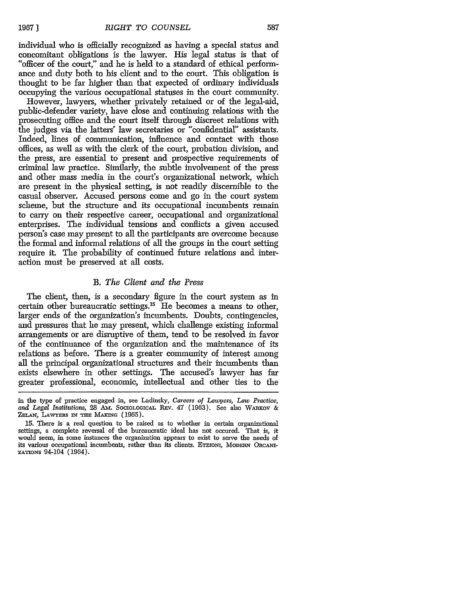individual who is officially recognized as having a special status and concomitant obligations is the lawyer. His legal status is that of "officer of the court," and he is held to a standard of ethical performance and duty both to his client and to the court. This obligation is thought to be far higher than that expected of ordinary individuals occupying the various occupational statuses in the court community.

However, lawyers, whether privately retained or of the legal-aid, public-defender variety, have close and continuing relations with the prosecuting office and the court itself through discreet relations with the judges via the latters' law secretaries or "confidential" assistants. Indeed, lines of communication, influence and contact with those offices, as well as with the clerk of the court, probation division, and the press, are essential to present and prospective requirements of criminal law practice. Similarly, the subtle involvement of the press and other mass media in the court's organizational network, which are present in the physical setting, is not readily discernible to the casual observer. Accused persons come and go in the court system scheme, but the structure and its occupational incumbents remain to carry on their respective career, occupational and organizational enterprises. The individual tensions and conflicts a given accused person's case may present to all the participants are overcome because the formal and informal relations of all the groups in the court setting require it. The probability of continued future relations and interaction must be preserved at all costs.

## *B. The Client and the Press*

The client, then, is a secondary figure in the court system as in certain other bureaucratic settings.15 He becomes a means to other, larger ends of the organization's incumbents. Doubts, contingencies, and pressures that he may present, which challenge existing informal arrangements or are disruptive of them, tend to be resolved in favor of the continuance of the organization and the maintenance of its relations as before. There is a greater community of interest among all the principal organizational structures and their incumbents than exists elsewhere in other settings. The accused's lawyer has far greater professional, economic, intellectual and other ties to the

in the type of practice engaged in, see Ladinsky, *Careers of Lawyers, Law Practice,* and Legal Institutions, 28 Am. SocioLocical REv. 47 (1963). See also WARKOV & ZELAN, LAWYERS IN THE MAKING (1965).

<sup>15.</sup> There is a real question to be raised as to whether in certain organizational settings, a complete reversal of the bureaucratic ideal has not occured. That is, it would seem, in some instances the organization appears to exist to serve the needs of its various occupational incumbents, rather than its clients. ETzIONr, MODERN ORGANIzATONS 94-104 (1964).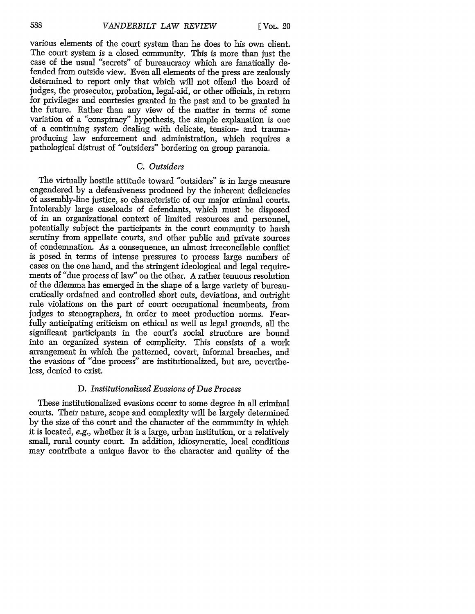various elements of the court system than he does to his own client. The court system is a closed community. This is more than just the case of the usual "secrets" of bureaucracy which are fanatically defended from outside view. Even all elements of the press are zealously determined to report only that which will not offend the board of judges, the prosecutor, probation, legal-aid, or other officials, in return for privileges and courtesies granted in the past and to be granted in the future. Rather than any view of the matter in terms of some variation of a "conspiracy" hypothesis, the simple explanation is one of a continuing system dealing with delicate, tension- and traumaproducing law enforcement and administration, which requires a pathological distrust of "outsiders" bordering on group paranoia.

#### *C. Outsiders*

The virtually hostile attitude toward "outsiders" is in large measure engendered by a defensiveness produced by the inherent deficiencies of assembly-line justice, so characteristic of our major criminal courts. Intolerably large caseloads of defendants, which must be disposed of in an organizational context of limited resources and personnel, potentially subject the participants in the court community to harsh scrutiny from appellate courts, and other public and private sources of condemnation. As a consequence, an almost irreconcilable conflict is posed in terms of intense pressures to process large numbers of cases on the one hand, and the stringent ideological and legal requirements of "due process of law" on the other. A rather tenuous resolution of the dilemma has emerged in the shape of a large variety of bureaucratically ordained and controlled short cuts, deviations, and outright rule violations on the part of court occupational incumbents, from judges to stenographers, in order to meet production norms. Fearfully anticipating criticism on ethical as well as legal grounds, all the significant participants in the court's social structure are bound into an organized system of complicity. This consists of a work arrangement in which the patterned, covert, informal breaches, and the evasions of "due process" are institutionalized, but are, nevertheless, denied to exist.

## *D. Institutionalized Evasions of Due Process*

These institutionalized evasions occur to some degree in all criminal courts. Their nature, scope and complexity will be largely determined by the size of the court and the character of the community in which it is located, e.g., whether it is a large, urban institution, or a relatively small, rural county court. In addition, idiosyncratic, local conditions may contribute a unique flavor to the character and quality of the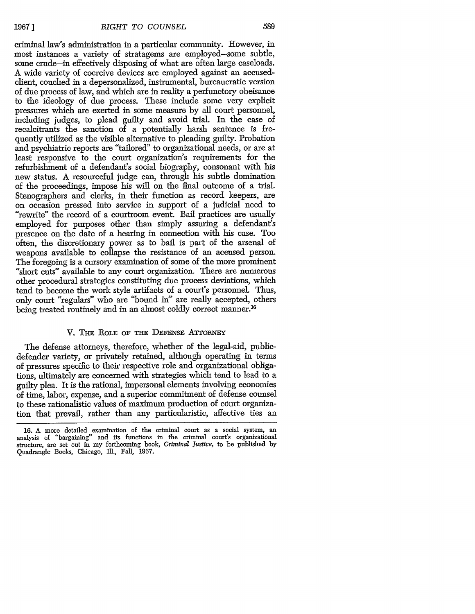criminal law's administration in a particular community. However, in most instances a variety of stratagems are employed-some subtle, some crude-in effectively disposing of what are often large caseloads. A wide variety of coercive devices are employed against an accusedclient, couched in a depersonalized, instrumental, bureaucratic version of due process of law, and which are in reality a perfunctory obeisance to the ideology of due process. These include some very explicit pressures which are exerted in some measure by all court personnel, including judges, to plead guilty and avoid trial. In the case of recalcitrants the sanction of a potentially harsh sentence is frequently utilized as the visible alternative to pleading guilty. Probation and psychiatric reports are "tailored" to organizational needs, or are at least responsive to the court organization's requirements for the refurbishment of a defendant's social biography, consonant with his new status. A resourceful judge can, through his subtle domination of the proceedings, impose his will on the final outcome of a trial. Stenographers and clerks, in their function as record keepers, are on occasion pressed into service in support of a judicial need to "rewrite" the record of a courtroom event. Bail practices are usually employed for purposes other than simply assuring a defendant's presence on the date of a hearing in connection with his case. Too often, the discretionary power as to bail is part of the arsenal of weapons available to collapse the resistance of an accused person. The foregoing is a cursory examination of some of the more prominent "short cuts" available to any court organization. There are numerous other procedural strategies constituting due process deviations, which tend to become the work style artifacts of a court's personnel. Thus, only court "regulars" who are "bound in" are really accepted, others being treated routinely and in an almost coldly correct manner.<sup>16</sup>

#### V. THE ROLE OF THE DEFENSE ATTORNEY

The defense attorneys, therefore, whether of the legal-aid, publicdefender variety, or privately retained, although operating in terms of pressures specific to their respective role and organizational obligations, ultimately are concerned with strategies which tend to lead to a guilty plea. It is the rational, impersonal elements involving economies of time, labor, expense, and a superior commitment of defense counsel to these rationalistic values of maximum production of court organization that prevail, rather than any particularistic, affective ties an

<sup>16.</sup> A more detailed examination of the criminal court as a social system, an analysis of "bargaining" and its functions in the criminal court's organizational structure, are set out in my forthcoming book, *Criminal Justice,* to be published by Quadrangle Books, Chicago, Ill., Fall, 1967.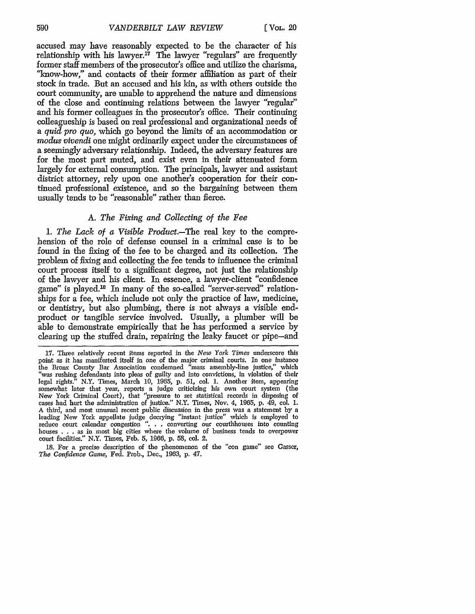accused may have reasonably expected to be the character of his relationship with his lawyer.<sup>17</sup> The lawyer "regulars" are frequently former staff members of the prosecutor's office and utilize the charisma, "know-how," and contacts of their former affiliation as part of their stock in trade. But an accused and his kin, as with others outside the court community, are unable to apprehend the nature and dimensions of the close and continuing relations between the lawyer "regular" and his former colleagues in the prosecutor's office. Their continuing colleagueship is based on real professional and organizational needs of a *quid pro quo,* which go beyond the limits of an accommodation or *modus vivendi* one might ordinarily expect under the circumstances of a seemingly adversary relationship. Indeed, the adversary features are for the most part muted, and exist even in their attenuated form largely for external consumption. The principals, lawyer and assistant district attorney, rely upon one another's cooperation for their continued professional existence, and so the bargaining between them usually tends to be "reasonable" rather than fierce.

### *A. The Fixing and Collecting of the Fee*

*1. The Lack of a Visible Product.-The* real key to the comprehension of the role of defense counsel in a criminal case is to be found in the fixing of the fee to be charged and its collection. The problem of fixing and collecting the fee tends to influence the criminal court process itself to a significant degree, not just the relationship of the lawyer and his client. In essence, a lawyer-client "confidence game" is played.<sup>18</sup> In many of the so-called "server-served" relationships for a fee, which include not only the practice of law, medicine, or dentistry, but also plumbing, there is not always a visible endproduct or tangible service involved. Usually, a plumber will be able to demonstrate empirically that he has performed a service by clearing up the stuffed drain, repairing the leaky faucet or pipe-and

**<sup>17.</sup>** Three relatively recent items reported in the *New York Times* underscore this point as it has manifested itself in one of the major criminal courts. In one instance the Bronx County Bar Association condemned "mass assembly-line justice," which "was rushing defendants into pleas of guilty and into convictions, in violation of their legal rights." N.Y. Times, March 10, 1965, p. 51, col. 1. Another item, appearing somewhat later that year, reports a judge criticizing his own court system (the New York Criminal Court), that "pressure to set statistical records in disposing of cases had hurt the administration of justice." N.Y. Times, Nov. 4, 1965, p. 49, col. 1. A third, and most unusual recent public discussion in the press was a statement by a leading New York appellate judge decrying "instant justice" which is employed to reduce court calendar congestion ". . . converting our courthhouses into counting houses . . . as in most big cities where the volume of business tends to overpower court facilities." N.Y. Times, Feb. 5, 1966, p. 58, col. 2.

<sup>18.</sup> For a precise description of the phenomenon of the "con game" see Gasser, *The Confidence Game,* Fed. Prob., Dec., 1963, p. 47.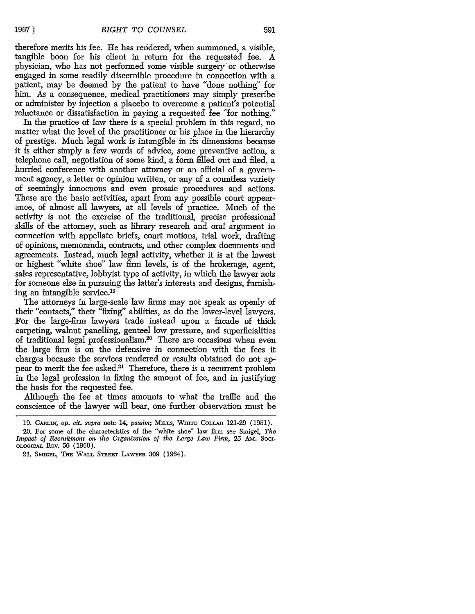therefore merits his fee. He has rendered, when summoned, a visible, tangible boon for his client in return for the requested fee. A physician, who has not performed some visible surgery or otherwise engaged in some readily discernible procedure in connection with a patient, may be deemed by the patient to have "done nothing" for him. As a consequence, medical practitioners may simply prescribe or administer by injection a placebo to overcome a patient's potential reluctance or dissatisfaction in paying a requested fee "for nothing."

In the practice of law there is a special problem in this regard, no matter what the level of the practitioner or his place in the hierarchy of prestige. Much legal work is intangible in its dimensions because it is either simply a few words of advice, some preventive action, a telephone call, negotiation of some kind, a form filled out and filed, a hurried conference with another attorney or an official of a government agency, a letter or opinion written, or any of a countless variety of seemingly innocuous and even prosaic procedures and actions. These are the basic activities, apart from any possible court appearance, of almost all lawyers, at all levels of practice. Much of the activity is not the exercise of the traditional, precise professional skills of the attorney, such as library research and oral argument in connection with appellate briefs, court motions, trial work, drafting of opinions, memoranda, contracts, and other complex documents and agreements. Instead, much legal activity, whether it is at the lowest or highest "white shoe" law firm levels, is of the brokerage, agent, sales representative, lobbyist type of activity, in which the lawyer acts for someone else in pursuing the latter's interests and designs, furnishing an intangible service.19

The attorneys in large-scale law firms may not speak as openly of their "contacts," their "fixing" abilities, as do the lower-level lawyers. For the large-firm lawyers trade instead upon a facade of thick carpeting, walnut panelling, genteel low pressure, and superficialities of traditional legal professionalism.<sup>20</sup> There are occasions when even the large firm is on the defensive in connection with the fees it charges because the services rendered or results obtained do not appear to merit the fee asked.2' Therefore, there is a recurrent problem in the legal profession in fixing the amount of fee, and in justifying the basis for the requested fee.

Although the fee at times amounts to what the traffic and the conscience of the lawyer will bear, one further observation must be

<sup>19.</sup> *CArmi-a, op. cit. supra* note 14, *passim;* MILLs, **WrE** COLLAR **121-29** (1951).

<sup>20.</sup> For some of the characteristics of the "white shoe" law firm see Smigel, *The Impact of Recruitment on the Organization of the Large Law Firm,* 25 Am. Soci-OLOGrCAL **REv.** 56 (1960).

<sup>21.</sup> S MGEL, THE WALL STRET **LAwYEm** 309 (1964).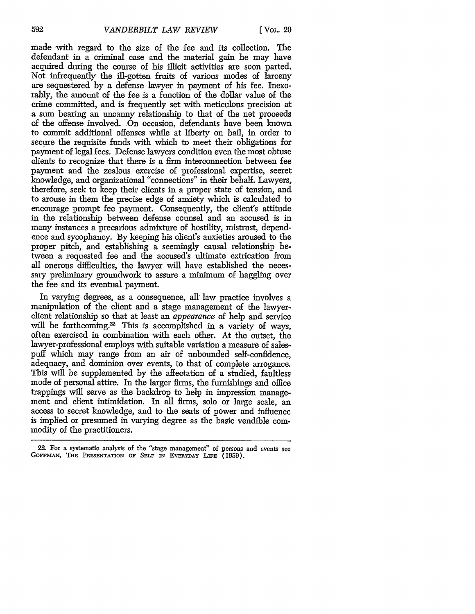made with regard to the size of the fee and its collection. The defendant in a criminal case and the material gain he may have acquired during the course of his illicit activities are soon parted. Not infrequently the ill-gotten fruits of various modes of larceny are sequestered by a defense lawyer in payment of his fee. Inexorably, the amount of the fee is a function of the dollar value of the crime committed, and is frequently set with meticulous precision at a sum bearing an uncanny relationship to that of the net proceeds of the offense involved. On occasion, defendants have been known to commit additional offenses while at liberty on bail, in order to secure the requisite funds with which to meet their obligations for payment of legal fees. Defense lawyers condition even the most obtuse clients to recognize that there is a firm interconnection between fee payment and the zealous exercise of professional expertise, secret knowledge, and organizational "connections" in their behalf. Lawyers, therefore, seek to keep their clients in a proper state of tension, and to arouse in them the precise edge of anxiety which is calculated to encourage prompt fee payment. Consequently, the client's attitude in the relationship between defense counsel and an accused is in many instances a precarious admixture of hostility, mistrust, dependence and sycophancy. By keeping his client's anxieties aroused to the proper pitch, and establishing a seemingly causal relationship between a requested fee and the accused's ultimate extrication from all onerous difficulties, the lawyer will have established the necessary preliminary groundwork to assure a minimum of haggling over the fee and its eventual payment.

In varying degrees, as a consequence, all law practice involves a manipulation of the client and a stage management of the lawyerclient relationship so that at least an appearance of help and service will be forthcoming.<sup>22</sup> This is accomplished in a variety of ways, often exercised in combination with each other. At the outset, the lawyer-professional employs with suitable variation a measure of salespuff which may range from an air of unbounded self-confidence, adequacy, and dominion over events, to that of complete arrogance. This will be supplemented by the affectation of a studied, faultless mode of personal attire. In the larger firms, the furnishings and office trappings will serve as the backdrop to help in impression management and client intimidation. In all firms, solo or large scale, an access to secret knowledge, and to the seats of power and influence is implied or presumed in varying degree as the basic vendible commodity of the practitioners.

<sup>22.</sup> For a systematic analysis of the "stage management" of persons and events **see** GOFFMAN, THE PRESENTATION OF SELF IN EVERYDAY LIFE (1959).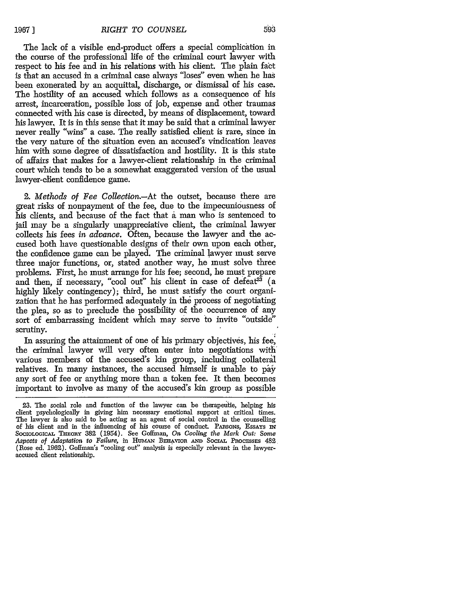The lack of a visible end-product offers a special complication in the course of the professional life of the criminal court lawyer with respect to his fee and in his relations with his client. The plain fact is that an accused in a criminal case always "loses" even when he has been exonerated by an acquittal, discharge, or dismissal of his case. The hostility of an accused which follows as a consequence of his arrest, incarceration, possible loss of job, expense and other traumas connected with his case is directed, by means of displacement, toward his lawyer, It is in this sense that it may be said that a criminal lawyer never really "wins" a case. The really satisfied client is rare, since in the very nature of the situation even an accused's vindication leaves him with some degree of dissatisfaction and hostility. It is this state of affairs that makes for a lawyer-client relationship in the criminal court which tends to be a somewhat exaggerated version of the usual lawyer-client confidence game.

*2. Methods of Fee Collection.-At* the outset, because there are great risks of nonpayment of the fee, due to the impecuniousness of his clients, and because of the fact that a man who is sentenced to jail may be a singularly unappreciative client, the criminal lawyer collects his fees *in advance.* Often, because the lawyer and the accused both have questionable designs of their own upon each other, the confidence game can be played. The criminal lawyer must serve three major functions, or, stated another way, he must solve three problems. First, he must arrange for his fee; second, he must prepare and then, if necessary, "cool out" his client in case of defeat<sup>23</sup> (a highly likely contingency); third, he must satisfy the court organization that he has performed adequately in the process of negotiating the plea, so as to preclude the possibility of the occurrence of any sort of embarrassing incident which may serve to invite "outside" scrutiny.

In assuring the attainment of one of his primary objectives, his fee, the criminal lawyer will very often enter into negotiations with various members of the accused's kin group, including collateral relatives. In many instances, the accused himself is unable to pay any sort of fee or anything more than a token fee. It then becomes important to involve as many of the accused's kin group as possible

<sup>23.</sup> The social role and function of the lawyer can be therapeutic, helping his client psychologically in giving him necessary emotional support at critical times. The lawyer is also said to be acting as an agent of social control in the counselling of his client and in the influencing of his course of conduct. PARSONS, ESSAYS IN SocioLocicAL THEORY 382 (1954). See Goffman, *On Cooling the Mark Out: Some Aspects of Adaptation to Failure,* in HuAw- **BEmAVIoR AND** SocIAL PRoCESsES 482 (Rose ed. 1962). Goffman's "cooling out" analysis is especially relevant in the lawyeraccused client relationship.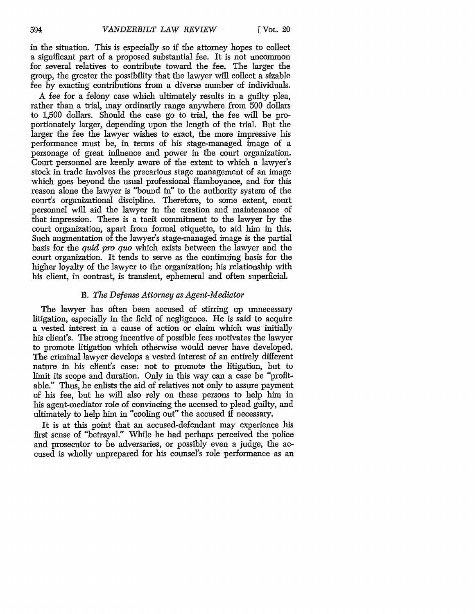in the situation. This is especially so if the attorney hopes to collect a significant part of a proposed substantial fee. It is not uncommon for several relatives to contribute toward the fee. The larger the group, the greater the possibility that the lawyer will collect a sizable fee by exacting contributions from a diverse number of individuals.

A fee for a felony case which ultimately results in a guilty plea, rather than a trial, may ordinarily range anywhere from 500 dollars to 1,500 dollars. Should the case go to trial, the fee will be proportionately larger, depending upon the length of the trial. But the larger the fee the lawyer wishes to exact, the more impressive his performance must be, in terms of his stage-managed image of a personage of great influence and power in the court organization. Court personnel are keenly aware of the extent to which a lawyer's stock in trade involves the precarious stage management of an image which goes beyond the usual professional flamboyance, and for this reason alone the lawyer is "bound in" to the authority system of the court's organizational discipline. Therefore, to some extent, court personnel will aid the lawyer in the creation and maintenance of that impression. There is a tacit commitment to the lawyer by the court organization, apart from formal etiquette, to aid him in this. Such augmentation of the lawyer's stage-managed image is the partial basis for the *quid pro quo* which exists between the lawyer and the court organization. It tends to serve as the continuing basis for the higher loyalty of the lawyer to the organization; his relationship with his client, in contrast, is transient, ephemeral and often superficial.

#### *B. The Defense Attorney as Agent-Mediator*

The lawyer has often been accused of stirring up unnecessary litigation, especially in the field of negligence. He is said to acquire a vested interest in a cause of action or claim which was initially his client's. The strong incentive of possible fees motivates the lawyer to promote litigation which otherwise would never have developed. The criminal lawyer develops a vested interest of an entirely different nature in his chent's case: not to promote the litigation, but to limit its scope and duration. Only in this way can a case be "profitable." Thus, he enlists the aid of relatives not only to assure payment of his fee, but he will also rely on these persons to help him in his agent-mediator role of convincing the accused to plead guilty, and ultimately to help him in "cooling out" the accused **if** necessary.

It is at this point that an accused-defendant may experience his first sense of "betrayal." While he had perhaps perceived the police and prosecutor to be adversaries, or possibly even a judge, the accused is wholly unprepared for his counsel's role performance as an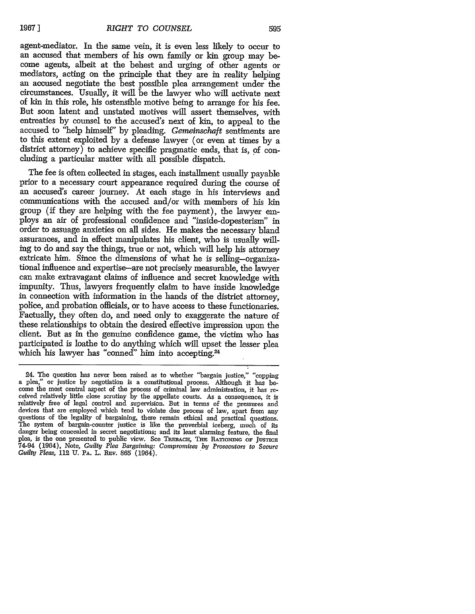agent-mediator. In the same vein, it is even less likely to occur to an accused that members of his own family or kin group may become agents, albeit at the behest and urging of other agents or mediators, acting on the principle that they are in reality helping an accused negotiate the best possible plea arrangement under the circumstances. Usually, it will be the lawyer who will activate next of kin in this role, his ostensible motive being to arrange for his fee. But soon latent and unstated motives will assert themselves, with entreaties by counsel to the accused's next of kin, to appeal to the accused to "help himself" by pleading. *Gemeinschaft* sentiments are to this extent exploited by a defense lawyer (or even at times by a district attorney) to achieve specific pragmatic ends, that is, of concluding a particular matter with all possible dispatch.

The fee is often collected in stages, each installment usually payable prior to a necessary court appearance required during the course of an accused's career journey. At each stage in his interviews and communications with the accused and/or with members of his kin group (if they are helping with the fee payment), the lawyer employs an air of professional confidence and "inside-dopesterism" in order to assuage anxieties on all sides. He makes the necessary bland assurances, and in effect manipulates his client, who is usually willing to do and say the things, true or not, which will help his attorney extricate him. Since the dimensions of what he is selling-organizational influence and expertise-are not precisely measurable, the lawyer can make extravagant claims of influence and secret knowledge with impunity. Thus, lawyers frequently claim to have inside knowledge in connection with information in the hands of the district attorney, police, and probation officials, or to have access to these functionaries. Factually, they often do, and need only to exaggerate the nature of these relationships to obtain the desired effective impression upon the client. But as in the genuine confidence game, the victim who has participated is loathe to do anything which will upset the lesser plea which his lawyer has "conned" him into accepting.<sup>24</sup>

<sup>24.</sup> The question has never been raised as to whether "bargain justice," "copping a plea," or justice by negotiation is a constitutional process. Although it has become the most central aspect of the process of criminal law relatively free of legal control and supervision. But in terms of the pressures and devices that are employed which tend to violate due process of law, apart from any questions of the legality of bargaining, there remain ethical and practical questions.<br>The system of bargain-counter justice is like the proverbial iceberg, much of its danger being concealed in secret negotiations; and its least alarming feature, the final plea, is the one presented to public view. Sce TREBACH, THE RATIONING OF JUSTICE 74-94 (1964), Note, *Guilty Plea Bargaining: Compromises by Prosecutors to Secure Guilty Pleas, 112 U. PA. L. REV. 865 (1964).*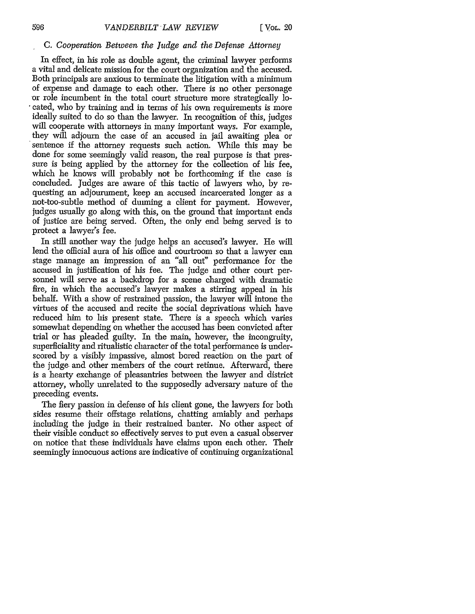#### *C. Cooperation Between the Judge and the Defense Attorney*

In effect, in his role as double agent, the criminal lawyer performs a vital and delicate mission for the court organization and the accused. Both principals are anxious to terminate the litigation with a minimum of expense and damage to each other. There is no other personage or role incumbent in the total court structure more strategically lo- 'cated, who by training and in terms of his own requirements is more ideally suited to do so than the lawyer. In recognition of this, judges will cooperate with attorneys in many important ways. For example, they will adjourn the case of an accused in jail awaiting plea or sentence if the attorney requests such action. While this may be done for some seemingly valid reason, the real purpose is that pressure is being applied by the attorney for the collection of his fee, which he knows will probably not be forthcoming if the case is concluded. Judges are aware of this tactic of lawyers who, by requesting an adjournment, keep an accused incarcerated longer as a not-too-subtle method of dunning a client for payment. However, judges usually go along with this, on the ground that important ends of justice are being served. Often, the only end being served is to protect a lawyer's fee.

In still another way the judge helps an accused's lawyer. He will lend the official aura of his office and courtroom so that a lawyer can stage manage an impression of an "all out" performance for the accused in justification of his fee. The judge and other court personnel will serve as a backdrop for a scene charged with dramatic fire, in which the accused's lawyer makes a stirring appeal in his behalf. With a show of restrained passion, the lawyer will intone the virtues of the accused and recite the social deprivations which have reduced him to his present state. There is a speech which varies somewhat depending on whether the accused has been convicted after trial or has pleaded guilty. In the main, however, the incongruity, superficiality and ritualistic character of the total performance is underscored by a visibly impassive, almost bored reaction on the part of the judge and other members of the court retinue. Afterward, there is a hearty exchange of pleasantries between the lawyer and district attorney, wholly unrelated to the supposedly adversary nature of the preceding events.

The fiery passion in defense of his client gone, the lawyers for both sides resume their offstage relations, chatting amiably and perhaps including the judge in their restrained banter. No other aspect of their visible conduct so effectively serves to put even a casual observer on notice that these individuals have claims upon each other. Their seemingly innocuous actions are indicative of continuing organizational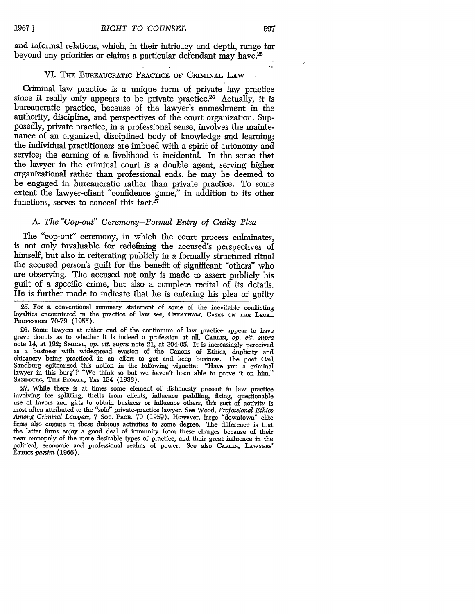and informal relations, which, in their intricacy and depth, range far beyond any priorities or claims a particular defendant may have.<sup>25</sup>

#### VI. THE BUREAUCRATIC PRACTICE OF CRIMINAL LAW

Criminal law practice is a unique form of private law practice since it really only appears to be private practice.<sup>26</sup> Actually, it is bureaucratic practice, because of the lawyer's enmeshment in the authority, discipline, and perspectives of the court organization. Supposedly, private practice, in a professional sense, involves the maintenance of an organized, disciplined body of knowledge and learning; the individual practitioners are imbued with a spirit of autonomy and service; the earning of a livelihood is incidental. In the sense that the lawyer in the criminal court is a double agent, serving higher organizational rather than professional ends, he may be deemed to be engaged in bureaucratic rather than private practice. To some extent the lawyer-client "confidence game," in addition to its other functions, serves to conceal this fact.<sup>27</sup>

## *A. The "Cop-out" Ceremony-Formal Entry of Guilty Plea*

The "cop-out" ceremony, in which the court process culminates, is not only invaluable for redefining the accused's perspectives of himself, but also in reiterating publicly in a formally structured ritual the accused person's guilt for the benefit of significant "others" who are observing. The accused not only is made to assert publicly his guilt of a specific crime, but also a complete recital of its details. He is further made to indicate that he is entering his plea of guilty

25. For a conventional summary statement of some of the inevitable conflicting loyalties encountered in the practice of law see, CHEATHAM, CASES ON THE LEGAL PROFESSION 70-79 (1955).

26. Some lawyers at either end of the continuum of law practice appear to have grave doubts as to whether it is indeed a profession at all. CARLIN, op. cit. supra note 14, at 192; **SMIGEL,** *op. cit. supra* note 21, at 304-05. It is increasingly perceived as a business with widespread evasion of the Canons of Ethics, duplicity and chicanery being practiced in an effort to get and keep business. The poet Carl Sandburg epitomized this notion in the following vignette: "Have you a criminal lawyer in this burg"? "We think so but we haven't been able to prove it on him." **SANmBURG,** THE **PEoPLE,** YEs 154 (1936).

27. While there is at times some element of dishonesty present in law practice involving fce splitting, thefts from clients, influence peddling, fixing, questionable involving fee splitting, thefts from clients, influence peddling, fixing, questionable use of favors and gifts to obtain business or influence others, this sort of activity is most often attributed to the "solo" private-practice lawyer. See Wood, *Professional Ethics Among Criminal Lawyers,* 7 Soc. **PROB.** 70 (1959). However, large "downtown" elite firms also engage in these dubious activities to some degree. The difference is that the latter firms enjoy a good deal of immunity from these charges because of their near monopoly of the more desirable types of practice, and their great influence in the political, economic and professional realms of power. See also CARLIN, LAWYERS' EnTcs *passim (1966).*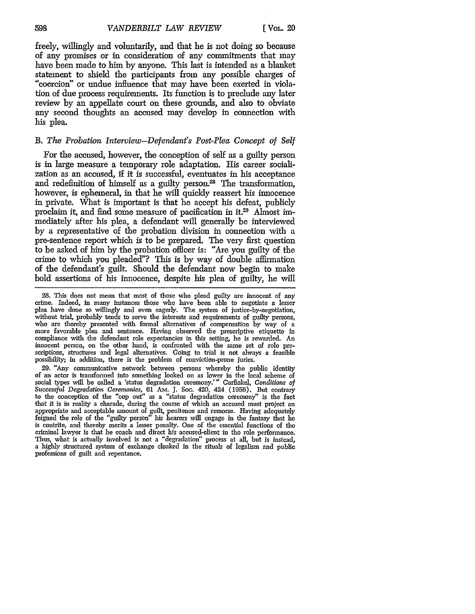freely, willingly and voluntarily, and that he is not doing so because of any promises or in consideration of any commitments that may have been made to him by anyone. This last is intended as a blanket statement to shield the participants from any possible charges of "coercion" or undue influence that may have been exerted in violation of due process requirements. Its function is to preclude any later review by an appellate court on these grounds, and also to obviate any second thoughts an accused may develop in connection with his plea.

#### *B. The Probation Interview-Defendant's Post-Plea Concept of Self*

For the accused, however, the conception of self as a guilty person is in large measure a temporary role adaptation. His career socialization as an accused, if it is successful, eventuates in his acceptance and redefinition of himself as a guilty person.<sup>28</sup> The transformation, however, is ephemeral, in that he will quickly reassert his innocence in private. What is important is that he accept his defeat, publicly proclaim it, and find some measure of pacification in it.2 Almost immediately after his plea, a defendant will generally be interviewed by a representative of the probation division in connection with a pre-sentence report which is to be prepared. The very first question to be asked of him by the probation officer is: "Are you guilty of the crime to which you pleaded"? This is by way of double affirmation of the defendant's guilt. Should the defendant now begin to make bold assertions of his innocence, despite his plea of guilty, he will

29. "Any communicative network between persons whereby the public identity of an actor is transformed into something looked on as lower in the local scheme of social types will be called a 'status degradation ceremony.'" Garfinkel, *Conditions of Successful Degradation Ceremonies,* **61 AM. J.** Soc. 420, 424 (1956). But contrary to the conception of the "cop out" as a "status degradation ceremony" is the fact that it is in reality a charade, during the course of which an accused must project an feigned the role of the "guilty person" his hearers will engage in the fantasy that **be** is contrite, and thereby merits a lesser penalty. One of the essential functions of the criminal lawyer is that he coach and direct his accused-client in the role performance. Thus, what is actually involved is not a "degradation" process at all, but is instead, a highly structured system of exchange cloaked in the rituals of legalism and public professions of guilt and repentance.

**<sup>28.</sup>** This does not mean that most of those who plead guilty are innocent of any crime. Indeed, in many instances those who have been able to negotiate a lesser plea have done so willingly and even eagerly. The system of justice-by-negotiation, without trial, probably tends to serve the interests and requirements of guilty persons, who are thereby presented with formal alternatives of compensation by way of a more favorable plea and sentence. Having observed the prescriptive etiquette in compliance with the defendant role expectancies in this setting, he is rewarded. An innocent person, on the other hand, is confronted with the same set of role prescriptions, structures and legal alternatives. Going to trial is not always a feasible possibility; in addition, there is the problem of conviction-prone juries.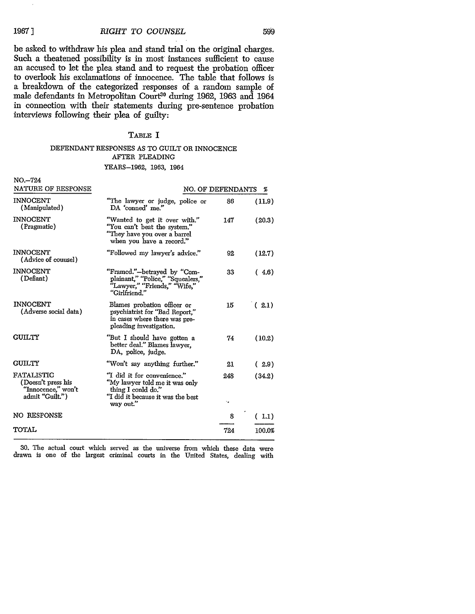*RIGHT TO COUNSEL*

be asked to withdraw his plea and stand trial on the original charges. Such a theatened possibility is in most instances sufficient to cause an accused to let the plea stand and to request the probation officer to overlook his exclamations of innocence. The table that follows is a breakdown of the categorized responses of a random sample of male defendants in Metropolitan Court<sup>30</sup> during 1962, 1963 and 1964 in connection with their statements during pre-sentence probation interviews following their plea of guilty:

#### TABLE I

## DEFENDANT RESPONSES **AS** TO GUILT OR INNOCENCE AFTER PLEADING

#### YEARS-1962, 1963, 1964

| NATURE OF RESPONSE                                                        | NO. OF DEFENDANTS<br>ъ                                                                                                    |     |        |
|---------------------------------------------------------------------------|---------------------------------------------------------------------------------------------------------------------------|-----|--------|
| <b>INNOCENT</b><br>(Manipulated)                                          | "The lawyer or judge, police or<br>DA 'conned' me."                                                                       | 86  | (11.9) |
| <b>INNOCENT</b><br>(Pragmatic)                                            | "Wanted to get it over with."<br>"You can't beat the system."<br>"They have you over a barrel<br>when you have a record." | 147 | (20.3) |
| <b>INNOCENT</b><br>(Advice of couusel)                                    | "Followed my lawyer's advice."                                                                                            | 92  | (12.7) |
| <b>INNOCENT</b><br>(Defiant)                                              | "Framed."-betrayed by "Com-<br>plainant," "Police," "Squealers,"<br>"Lawyer," "Friends," "Wife,"<br>"Girlfriend."         | 33  | (4.6)  |
| <b>INNOCENT</b><br>(Adverse social data)                                  | Blames probation officer or<br>psychiatrist for "Bad Report,"<br>in cases where there was pre-<br>pleading investigation. | 15  | (2.1)  |
| <b>GUILTY</b>                                                             | "But I should have gotten a<br>better deal." Blames lawyer,<br>DA, police, judge.                                         | 74  | (10.2) |
| <b>GUILTY</b>                                                             | "Won't say anything further."                                                                                             | 21  | (2.9)  |
| FATALISTIC<br>(Doesn't press his<br>"Innocence," won't<br>admit "Guilt.") | "I did it for convenience."<br>"My lawyer told me it was only<br>thing I conld do."<br>"I did it because it was the best  | 248 | (34.2) |
|                                                                           | way out."                                                                                                                 | ۰.  |        |
| <b>NO RESPONSE</b>                                                        |                                                                                                                           | 8   | (1.1)  |
| TOTAL                                                                     |                                                                                                                           | 724 | 100.0% |

**30.** The actual court which served as the universe from which these data were drawn is one of the largest criminal courts in the United States, dealing with

**1967 ]**

NO.-724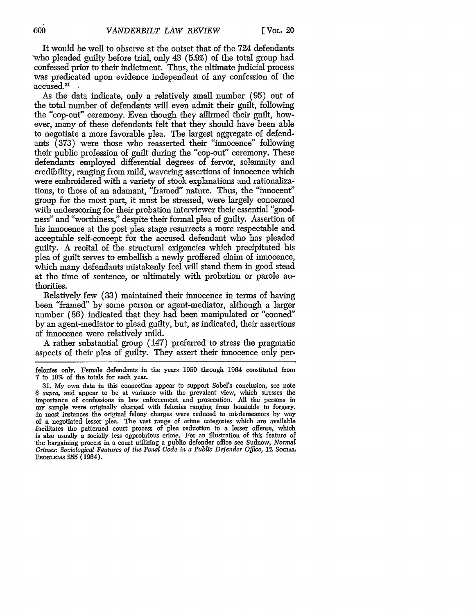It would be well to observe at the outset that of the 724 defendants who pleaded guilty before trial, only 43 (5.9%) of the total group had confessed prior to their indictment. Thus, the ultimate judicial process was predicated upon evidence independent of any confession of the accused.<sup>31</sup>

As the data indicate, only a relatively small number (95) out of the total number of defendants will even admit their guilt, following the "cop-out" ceremony. Even though they affirmed their guilt, however, many of these defendants felt that they should have been able to negotiate a more favorable plea. The largest aggregate of defendants (373) were those who reasserted their "innocence" following their public profession of guilt during the "cop-out" ceremony. These defendants employed differential degrees of fervor, solemnity and credibility, ranging from mild, wavering assertions of innocence which were embroidered with a variety of stock explanations and rationalizations, to those of an adamant, "framed" nature. Thus, the "innocent" group for the most part, it must be stressed, were largely concerned with underscoring for their probation interviewer their essential "goodness" and "worthiness," despite their formal plea of guilty. Assertion of his innocence at the post plea stage resurrects a more respectable and acceptable self-concept for the accused defendant who has pleaded guilty. A recital of the structural exigencies which precipitated his plea of guilt serves to embellish a newly proffered claim of innocence, which many defendants mistakenly feel will stand them in good stead at the time of sentence, or ultimately with probation or parole authorities.

Relatively few (33) maintained their innocence in terms of having been "framed" by some person or agent-mediator, although a larger number (86) indicated that they had been manipulated or "conned" by an agent-mediator to plead guilty, but, as indicated, their assertions of innocence were relatively mild.

A rather substantial group (147) preferred to stress the pragmatic aspects of their plea of guilty. They assert their innocence only per-

felonies only. Female defendants in the years 1950 through 1964 constituted from 7 to 10% of the totals for each year.

<sup>31.</sup> My own data in this connection appear to support Sobel's conclusion, see note *6* supra, and appear to be at variance with the prevalent view, which stresses the importance of confessions in law enforcement and prosecution. All the persons in my sample were originally charged with felonies ranging from homicide to forgery. In most instances the original felony charges were reduced to misdemeanors by way of a negotiated lesser plea. The vast range of crime categories which are available facilitates the patterned court process of plea reduction to a lesser offense, which is also usually a socially less opprobrious crime. For an illustration of this feature of -the bargaiiffg process in a court utilizing a public defender office see Sudnow, *Normal Crimes: Sociological Features of the Penal Code in a Public Defender Office, 12 Social.* **PRoBLEMs** 255 (1964).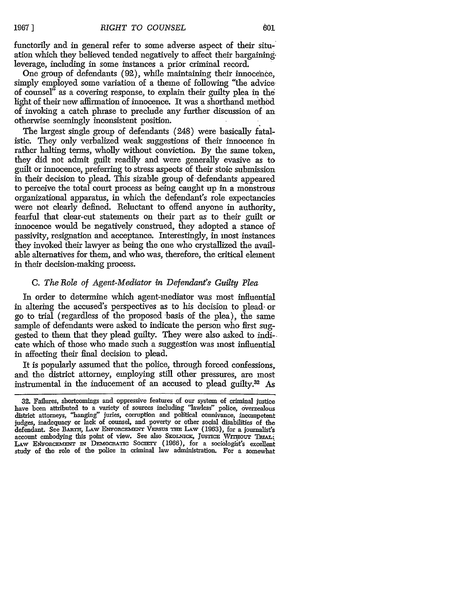functorily and in general refer to some adverse aspect of their situ-' ation which they believed tended negatively to affect their bargainingleverage, including in some instances a prior criminal record.

One group of defendants (92), while maintaining their innocence, simply employed some variation of a theme of following "the advice of counsel" as a covering response, to explain their guilty plea in **the** light of their new affinmation of innocence. It was a shorthand method of invoking a catch phrase to preclude any further discussion of an otherwise seemingly inconsistent position.

The largest single group of defendants (248) were basically fatalistic. They only verbalized weak suggestions of their innocence in rather halting terms, wholly without conviction. By the same token, they did not admit guilt readily and were generally evasive as to guilt or innocence, preferring to stress aspects of their stoic submission in their decision to plead. This sizable group of -defendants appeared to perceive the total court process as being caught up in a monstrous organizational apparatus, in which the defendant's role expectancies were not clearly defined. Reluctant to offend anyone in authority, fearful that clear-cut statements on their part as to their guilt or innocence would be negatively construed, they adopted a stance of passivity, resignation and acceptance. Interestingly, in most instances they invoked their lawyer as being the one who crystallized the available alternatives for them, and who was, therefore, the critical element in their decision-making process.

#### *C. The Role of Agent-Mediator in Defendant's Guilty Plea*

In order to determine which agent-mediator was most influential in altering the accused's perspectives as to his decision to plead- or go to trial (regardless of the proposed 'basis of the plea), the same sample of defendants were asked to indicate the person who first suggested to them that they plead guilty. They were also asked to indi-, cate which of those who made such a suggestion was most influential in affecting their final decision to plead.

It is popularly assumed that the police, through forced confessions, and the district attorney, employing still other pressures, are most instrumental in the inducement of an accused to plead guilty. $32$  As

**<sup>32.</sup>** Failures, shortcomings and oppressive features of our system of criminal justice have been attributed to a variety of sources including 'lawless" police, overzealous district attorneys, "hanging" juries, corruption and political connivance, incompetent judges, inadequacy or lack of counsel, and poverty or other social disabilities of the defendant. See BARTH, LAW ENFORCEMENT VERSUS THE LAW (1963), for a journalist's account embodying this point of view. See also SKOLNICK, JUSTICE WITHOUT TRIAL: LAW ENFORCEMENT IN DEMOCRATIC SOCIETY (1966), for a sociologist's excellent study of **the** role of **the police in criminal** law administration. For a somewhat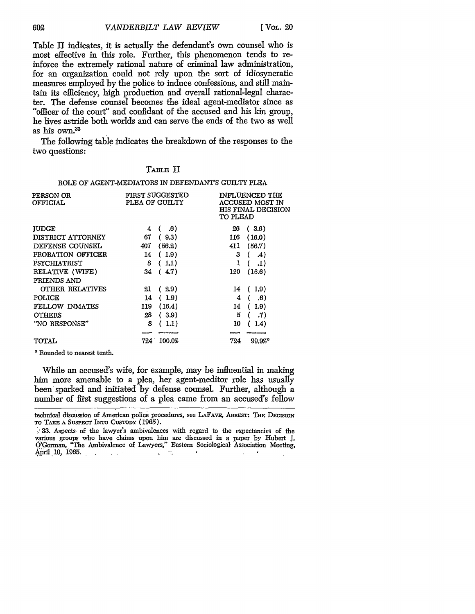Table II indicates, it is actually the defendant's own counsel who is most effective in this role. Further, this phenomenon tends to reinforce the extremely rational nature of criminal law administration, for an organization could not rely upon the sort of idiosyncratic measures employed by the police to induce confessions, and still maintain its efficiency, high production and overall rational-legal character. The defense counsel becomes the ideal agent-mediator since as "officer of the court" and confidant of the accused and his kin group, he lives astride both worlds and can serve the ends of the two as well as his  $own<sup>33</sup>$ 

The following table indicates the breakdown of the responses to the two questions:

#### TABLE II

#### ROLE OF AGENT-MEDIATORS IN DEFENDANT'S GUILTY PLEA

| PERSON OR<br>OFFICIAL | PLEA OF GUILTY | FIRST SUGGESTED | TO PLEAD | <b>INFLUENCED THE</b><br>ACCUSED MOST IN<br>HIS FINAL DECISION |
|-----------------------|----------------|-----------------|----------|----------------------------------------------------------------|
| <b>JUDGE</b>          | 4              | .6)             | 26       | (3.6)                                                          |
| DISTRICT ATTORNEY     | 67             | (9.3)           | 116      | (16.0)                                                         |
| DEFENSE COUNSEL       | 407            | (56.2)          | 411      | (56.7)                                                         |
| PROBATION OFFICER     | 14             | (1.9)           | 3        | .4)                                                            |
| <b>PSYCHIATRIST</b>   | 8              | 1.1)            | 1        | .I)                                                            |
| RELATIVE (WIFE)       | 34             | (4.7)           | 120      | (16.6)                                                         |
| FRIENDS AND           |                |                 |          |                                                                |
| OTHER RELATIVES       | 21             | (2.9)           | 14       | (1.9)                                                          |
| <b>POLICE</b>         | 14             | (1.9)           | 4        | .6)                                                            |
| FELLOW INMATES        | 119            | (16.4)          | 14       | 1.9)                                                           |
| <b>OTHERS</b>         | 28             | (3.9)           | 5        | .7)                                                            |
| "NO RESPONSE"         | 8              | ( 1.1)          | 10       | 1.4)                                                           |
|                       |                |                 |          |                                                                |
| TOTAL                 |                | 724 100.0%      | 724      | 99.9%°                                                         |

Rounded to nearest tenth.

While an accused's wife, for example, may be influential in making him more amenable to a plea, her agent-meditor role has usually been sparked and initiated by defense counsel. Further, although a number of first suggestions of a plea came from an accused's fellow

technical discussion of American police procedures, see LAFAVE, ARREST: THE DECISION TO **TAKE A** SUSPECT INTO CUSTODY (1965).

 $\frac{1}{2}$  33. Aspects of the lawyer's ambivalences with regard to the expectancies of the various groups who have claims upon him are discussed in a paper by Hubert J. O'Gornan, "The Ambivalence of Lawyers," Eastern Sociological Association Meeting, April 10, 1965. **1965. 1968. 1968. 1968. 1968. 1979. 1979. 1979. 1979. 1989. 1989. 1989. 1989. 1989. 1989. 1989. 1989. 1989. 1989. 1989. 1989. 1989. 1989. 1989. 1989. 1989.**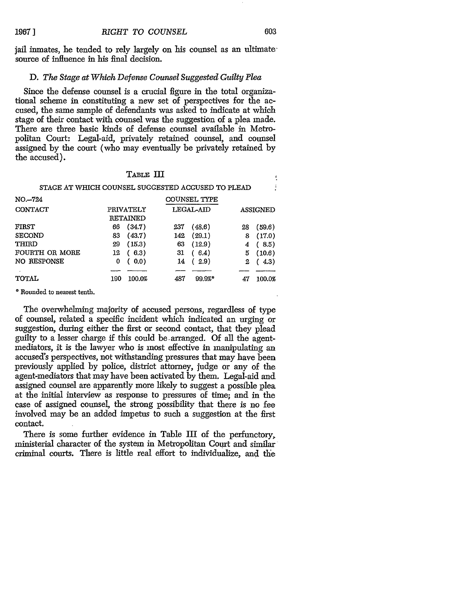÷

jail inmates, he tended to rely largely on his counsel as an ultimatesource of influence in his final decision.

#### *D. The Stage at Which Defense Counsel Suggested Guilty Plea*

Since the defense counsel is a crucial figure in the total organizational scheme in constituting a new set of perspectives for the accused, the same sample of defendants was asked to indicate at which stage of their contact with counsel was the suggestion of a plea made. There are three basic kinds of defense counsel available in Metropolitan Court: Legal-aid, privately retained counsel, and counsel assigned by the court (who may eventually be privately retained by the accused).

#### TABLE III

|                |                  | STAGE AT WHICH COUNSEL SUGGESTED ACGUSED TO PLEAD |                 |
|----------------|------------------|---------------------------------------------------|-----------------|
| $NO - 724$     |                  | <b>COUNSEL TYPE</b>                               |                 |
| <b>CONTACT</b> | <b>PRIVATELY</b> | LEGAL-AID                                         | <b>ASSIGNED</b> |
|                | RETAINED         |                                                   |                 |
| <b>FIRST</b>   | (34.7)<br>66     | (48.6)<br>237                                     | (59.6)<br>28    |
| <b>SECOND</b>  | (43.7)<br>83     | (29.1)<br>142                                     | (17.0)<br>8     |
| THIRD          | (15.3)<br>29     | (12.9)<br>63                                      | (8.5)           |
| FOURTH OR MORE | 6.3)<br>12       | 6.4)<br>31                                        | (10.6)<br>5     |
| NO RESPONSE    | 0.0)<br>0        | 2.9)<br>14                                        | (4.3)           |

TOTAL 190 100.0% 487 99.9%<sup>\*</sup> 47 100.0%

 $^{\circ}$  Rounded to nearest tenth.

The overwhelming majority of accused persons, regardless of type of counsel, related a specific incident which indicated an urging or suggestion, during either the first or second contact, that they plead guilty to a lesser charge if this could be. arranged. Of all the agentmediators, it is the lawyer who is most effective in manipulating an accused's perspectives, not withstanding pressures that may have been previously applied by police, district attorney, judge or any of the agent-mediators that may have been activated by them. Legal-aid and assigned counsel are apparently more likely to suggest a possible plea at the initial interview as response to pressures of time; and in the case of assigned counsel, the strong possibility that there is no fee involved may be an added impetus to such a suggestion at the first contact.

There is some further evidence in Table III of the perfunctory, ministerial character of the system in Metropolitan Court and similar criminal courts. There is little real effort to individualize, and the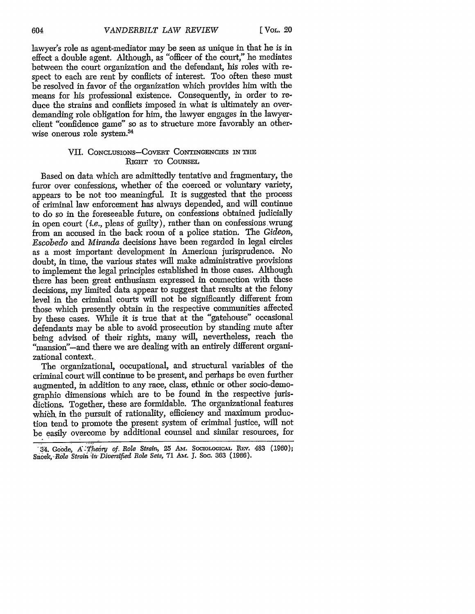lawyer's role as agent-mediator may be seen as unique in that he is in effect a double agent. Although, as "officer of the court," he mediates between the court organization and the defendant, his roles with respect to each are rent by conflicts of interest. Too often these must be resolved in favor of the organization which provides him with the means for his professional existence. Consequently, in order to reduce the strains and conflicts imposed in what is ultimately an overdemanding role obligation for him, the lawyer engages in the lawyerclient "confidence game" so as to structure more favorably an otherwise onerous role system.<sup>34</sup>

## VII. CONCLUSIONS-CovERT **CONTINGENCIES IN T11E RIGHT TO COUNSEL**

Based on data which are admittedly tentative and fragmentary, the furor over confessions, whether of the coerced or voluntary variety, appears to be not too meaningful. It is suggested that the process of criminal law enforcement has always depended, and will continue to do so in the foreseeable future, on confessions obtained judicially in open court *(i.e.,* pleas of guilty), rather than on confessions, wrung from an accused in the back room of a police station. The *Gideon, Escobedo and Miranda* decisions have been regarded in legal circles as a most important development in American jurisprudence. No doubt, in time, the various states will make administrative provisions to implement the legal principles established in those cases. Although there has been great enthusiasm expressed in connection with these decisions, my limited data appear to suggest that results at the felony level in the criminal courts will not be significantly different from those which presently obtain in the respective communities affected by these cases. While it is true that at the "gatehouse" occasional defendants may be able to avoid prosecution by standing mute after being advised of their rights, many will, nevertheless, reach the "mansion"-and there we are dealing with an entirely different organizational context.

The organizational, occupational, and structural variables of the criminal court will continue to be present, and perhaps be even further augmented, in addition to any race, class, ethnic or other socio-demographic dimensions which are to be found in the respective jurisdictions. Together, these are formidable. The organizational features which in the pursuit of rationality, efficiency and maximum production tend to promote the present system of criminal justice, will not be easily overcome by additional counsel and similar resources, for

<sup>&</sup>quot;34. Goode, *A Theory of Role Strain*, 25 Am. Socronocical Rev. 483 (1960); Snoek, Role Strain in Diversified Role Sets, 71 Am. J. Soc. 363 (1966).